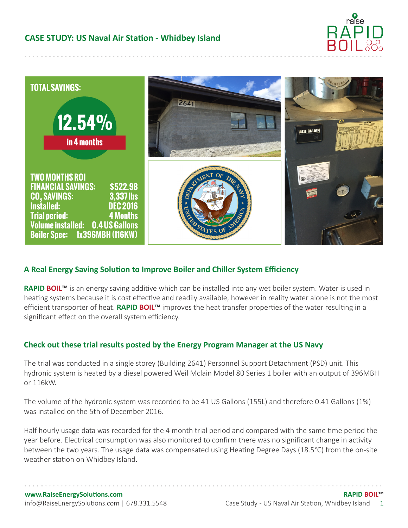



## **A Real Energy Saving Solution to Improve Boiler and Chiller System Efficiency**

**RAPID BOIL™** is an energy saving additive which can be installed into any wet boiler system. Water is used in heating systems because it is cost effective and readily available, however in reality water alone is not the most efficient transporter of heat. **RAPID BOIL™** improves the heat transfer properties of the water resulting in a significant effect on the overall system efficiency.

## **Check out these trial results posted by the Energy Program Manager at the US Navy**

The trial was conducted in a single storey (Building 2641) Personnel Support Detachment (PSD) unit. This hydronic system is heated by a diesel powered Weil Mclain Model 80 Series 1 boiler with an output of 396MBH or 116kW.

The volume of the hydronic system was recorded to be 41 US Gallons (155L) and therefore 0.41 Gallons (1%) was installed on the 5th of December 2016.

Half hourly usage data was recorded for the 4 month trial period and compared with the same time period the year before. Electrical consumption was also monitored to confirm there was no significant change in activity between the two years. The usage data was compensated using Heating Degree Days (18.5°C) from the on-site weather station on Whidbey Island.